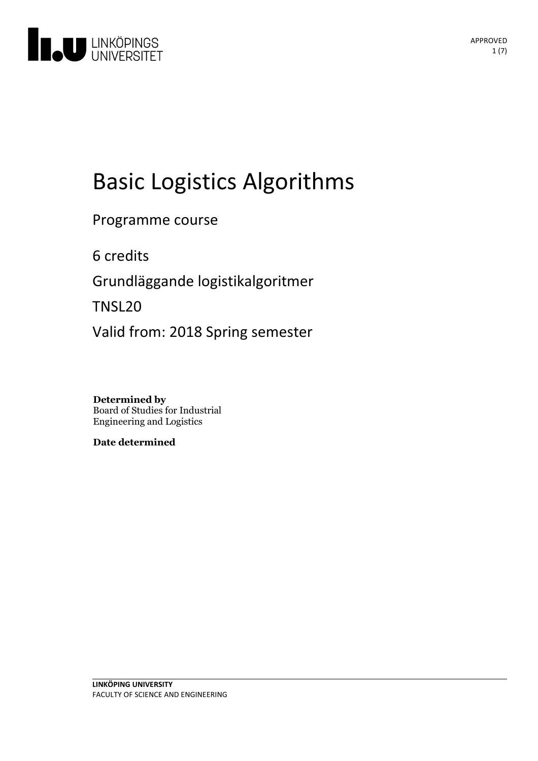

# Basic Logistics Algorithms

Programme course

6 credits

Grundläggande logistikalgoritmer

TNSL20

Valid from: 2018 Spring semester

**Determined by** Board of Studies for Industrial Engineering and Logistics

**Date determined**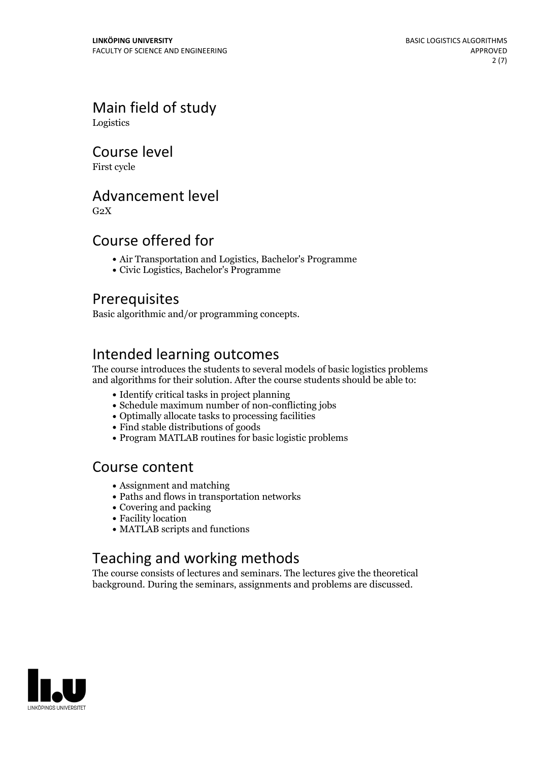Main field of study Logistics

Course level

First cycle

## Advancement level

 $G<sub>2</sub>X$ 

## Course offered for

- Air Transportation and Logistics, Bachelor's Programme
- Civic Logistics, Bachelor's Programme

### Prerequisites

Basic algorithmic and/or programming concepts.

# Intended learning outcomes

The course introduces the students to several models of basic logistics problems and algorithms for their solution. After the course students should be able to:

- Identify critical tasks in project planning
- Schedule maximum number of non-conflicting jobs
- Optimally allocate tasks to processing facilities
- Find stable distributions of goods
- Program MATLAB routines for basic logistic problems

### Course content

- Assignment and matching
- Paths and flows in transportation networks
- Covering and packing
- Facility location
- MATLAB scripts and functions

# Teaching and working methods

The course consists of lectures and seminars. The lectures give the theoretical background. During the seminars, assignments and problems are discussed.

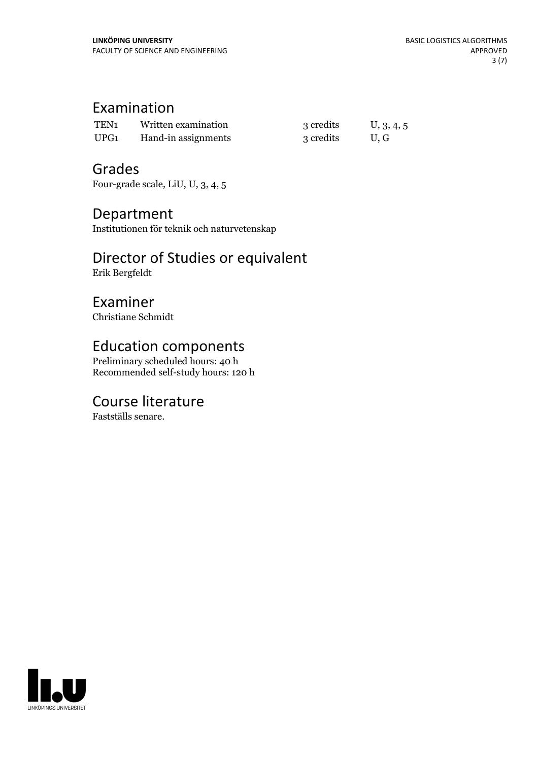# Examination

| TEN <sub>1</sub> | Written examination | 3 credits | U, 3, 4, 5 |
|------------------|---------------------|-----------|------------|
| UPG1             | Hand-in assignments | 3 credits | U.G        |

### Grades

Four-grade scale, LiU, U, 3, 4, 5

# Department

Institutionen för teknik och naturvetenskap

# Director of Studies or equivalent

Erik Bergfeldt

# Examiner

Christiane Schmidt

# Education components

Preliminary scheduled hours: 40 h Recommended self-study hours: 120 h

# Course literature

Fastställs senare.

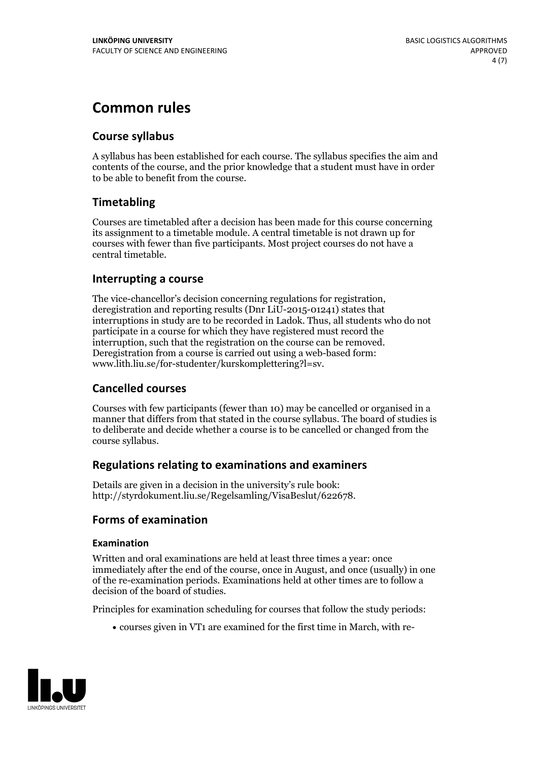# **Common rules**

### **Course syllabus**

A syllabus has been established for each course. The syllabus specifies the aim and contents of the course, and the prior knowledge that a student must have in order to be able to benefit from the course.

### **Timetabling**

Courses are timetabled after a decision has been made for this course concerning its assignment to a timetable module. A central timetable is not drawn up for courses with fewer than five participants. Most project courses do not have a central timetable.

### **Interrupting a course**

The vice-chancellor's decision concerning regulations for registration, deregistration and reporting results (Dnr LiU-2015-01241) states that interruptions in study are to be recorded in Ladok. Thus, all students who do not participate in a course for which they have registered must record the interruption, such that the registration on the course can be removed. Deregistration from <sup>a</sup> course is carried outusing <sup>a</sup> web-based form: www.lith.liu.se/for-studenter/kurskomplettering?l=sv.

### **Cancelled courses**

Courses with few participants (fewer than 10) may be cancelled or organised in a manner that differs from that stated in the course syllabus. The board of studies is to deliberate and decide whether a course is to be cancelled orchanged from the course syllabus.

### **Regulations relatingto examinations and examiners**

Details are given in a decision in the university's rule book: http://styrdokument.liu.se/Regelsamling/VisaBeslut/622678.

### **Forms of examination**

### **Examination**

Written and oral examinations are held at least three times a year: once immediately after the end of the course, once in August, and once (usually) in one of the re-examination periods. Examinations held at other times are to follow a decision of the board of studies.

Principles for examination scheduling for courses that follow the study periods:

courses given in VT1 are examined for the first time in March, with re-

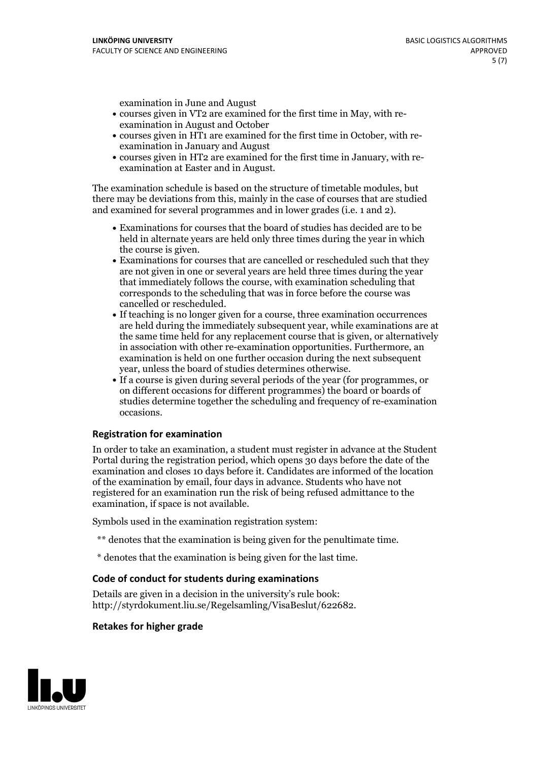examination in June and August

- courses given in VT2 are examined for the first time in May, with re-examination in August and October
- courses given in HT1 are examined for the first time in October, with re-examination in January and August
- courses given in HT2 are examined for the first time in January, with re-examination at Easter and in August.

The examination schedule is based on the structure of timetable modules, but there may be deviations from this, mainly in the case of courses that are studied and examined for several programmes and in lower grades (i.e. 1 and 2).

- Examinations for courses that the board of studies has decided are to be held in alternate years are held only three times during the year in which
- the course is given.<br>• Examinations for courses that are cancelled or rescheduled such that they are not given in one or several years are held three times during the year that immediately follows the course, with examination scheduling that corresponds to the scheduling that was in force before the course was cancelled or rescheduled.<br>• If teaching is no longer given for a course, three examination occurrences
- are held during the immediately subsequent year, while examinations are at the same time held for any replacement course that is given, or alternatively in association with other re-examination opportunities. Furthermore, an examination is held on one further occasion during the next subsequent year, unless the board of studies determines otherwise.<br>• If a course is given during several periods of the year (for programmes, or
- on different occasions for different programmes) the board orboards of studies determine together the scheduling and frequency of re-examination occasions.

#### **Registration for examination**

In order to take an examination, a student must register in advance at the Student Portal during the registration period, which opens 30 days before the date of the examination and closes 10 days before it. Candidates are informed of the location of the examination by email, four days in advance. Students who have not registered for an examination run the risk of being refused admittance to the examination, if space is not available.

Symbols used in the examination registration system:

- \*\* denotes that the examination is being given for the penultimate time.
- \* denotes that the examination is being given for the last time.

#### **Code of conduct for students during examinations**

Details are given in a decision in the university's rule book: http://styrdokument.liu.se/Regelsamling/VisaBeslut/622682.

#### **Retakes for higher grade**

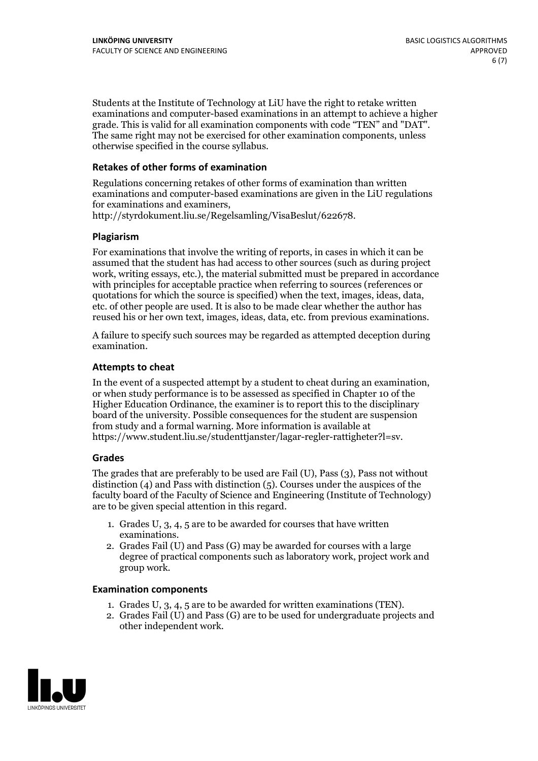Students at the Institute of Technology at LiU have the right to retake written examinations and computer-based examinations in an attempt to achieve a higher grade. This is valid for all examination components with code "TEN" and "DAT". The same right may not be exercised for other examination components, unless otherwise specified in the course syllabus.

### **Retakes of other forms of examination**

Regulations concerning retakes of other forms of examination than written examinations and computer-based examinations are given in the LiU regulations for examinations and examiners, http://styrdokument.liu.se/Regelsamling/VisaBeslut/622678.

#### **Plagiarism**

For examinations that involve the writing of reports, in cases in which it can be assumed that the student has had access to other sources (such as during project work, writing essays, etc.), the material submitted must be prepared in accordance with principles for acceptable practice when referring to sources (references or quotations for which the source is specified) when the text, images, ideas, data, etc. of other people are used. It is also to be made clear whether the author has reused his or her own text, images, ideas, data, etc. from previous examinations.

A failure to specify such sources may be regarded as attempted deception during examination.

#### **Attempts to cheat**

In the event of <sup>a</sup> suspected attempt by <sup>a</sup> student to cheat during an examination, or when study performance is to be assessed as specified in Chapter <sup>10</sup> of the Higher Education Ordinance, the examiner is to report this to the disciplinary board of the university. Possible consequences for the student are suspension from study and a formal warning. More information is available at https://www.student.liu.se/studenttjanster/lagar-regler-rattigheter?l=sv.

#### **Grades**

The grades that are preferably to be used are Fail (U), Pass (3), Pass not without distinction  $(4)$  and Pass with distinction  $(5)$ . Courses under the auspices of the faculty board of the Faculty of Science and Engineering (Institute of Technology) are to be given special attention in this regard.

- 1. Grades U, 3, 4, 5 are to be awarded for courses that have written
- examinations. 2. Grades Fail (U) and Pass (G) may be awarded for courses with <sup>a</sup> large degree of practical components such as laboratory work, project work and group work.

#### **Examination components**

- 
- 1. Grades U, 3, 4, <sup>5</sup> are to be awarded for written examinations (TEN). 2. Grades Fail (U) and Pass (G) are to be used for undergraduate projects and other independent work.